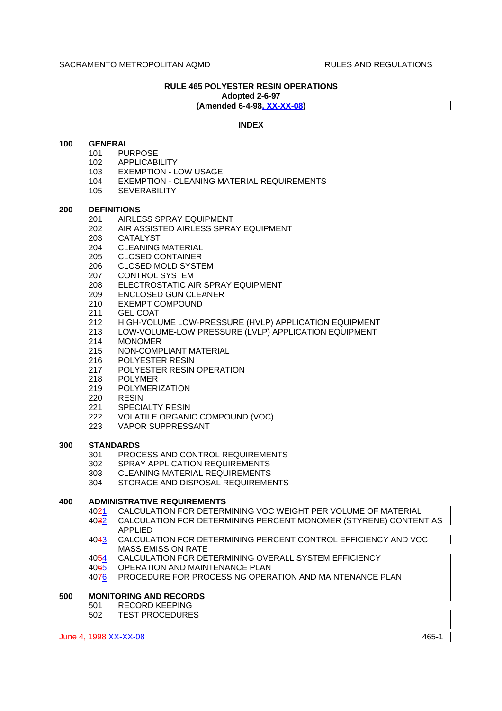#### **RULE 465 POLYESTER RESIN OPERATIONS Adopted 2-6-97 (Amended 6-4-98, XX-XX-08)**

## **INDEX**

## **100 GENERAL**

- 101 PURPOSE<br>102 APPLICABI
- **APPLICABILITY**
- 103 EXEMPTION LOW USAGE
- 104 EXEMPTION CLEANING MATERIAL REQUIREMENTS
- 105 SEVERABILITY

## **200 DEFINITIONS**

- 201 AIRLESS SPRAY EQUIPMENT
- 202 AIR ASSISTED AIRLESS SPRAY EQUIPMENT
- 203 CATALYST
- 204 CLEANING MATERIAL
- 205 CLOSED CONTAINER
- 206 CLOSED MOLD SYSTEM
- 207 CONTROL SYSTEM
- 208 ELECTROSTATIC AIR SPRAY EQUIPMENT
- 209 ENCLOSED GUN CLEANER<br>210 EXEMPT COMPOUND
- EXEMPT COMPOUND
- 211 GEL COAT
- 212 HIGH-VOLUME LOW-PRESSURE (HVLP) APPLICATION EQUIPMENT
- 213 LOW-VOLUME-LOW PRESSURE (LVLP) APPLICATION EQUIPMENT
- 214 MONOMER
- 215 NON-COMPLIANT MATERIAL
- 216 POLYESTER RESIN
- 217 POLYESTER RESIN OPERATION
- 218 POLYMER
- 219 POLYMERIZATION
- 220 RESIN
- 221 SPECIALTY RESIN
- 222 VOLATILE ORGANIC COMPOUND (VOC)
- 223 VAPOR SUPPRESSANT

## **300 STANDARDS**

- 301 PROCESS AND CONTROL REQUIREMENTS
- 302 SPRAY APPLICATION REQUIREMENTS
- 303 CLEANING MATERIAL REQUIREMENTS
- 304 STORAGE AND DISPOSAL REQUIREMENTS

## **400 ADMINISTRATIVE REQUIREMENTS**

- 4021 CALCULATION FOR DETERMINING VOC WEIGHT PER VOLUME OF MATERIAL
- 4032 CALCULATION FOR DETERMINING PERCENT MONOMER (STYRENE) CONTENT AS APPLIED
- 4043 CALCULATION FOR DETERMINING PERCENT CONTROL EFFICIENCY AND VOC MASS EMISSION RATE
- 4054 CALCULATION FOR DETERMINING OVERALL SYSTEM EFFICIENCY
- 4065 OPERATION AND MAINTENANCE PLAN
- 4076 PROCEDURE FOR PROCESSING OPERATION AND MAINTENANCE PLAN

# **500 MONITORING AND RECORDS**

- 501 RECORD KEEPING
- 502 TEST PROCEDURES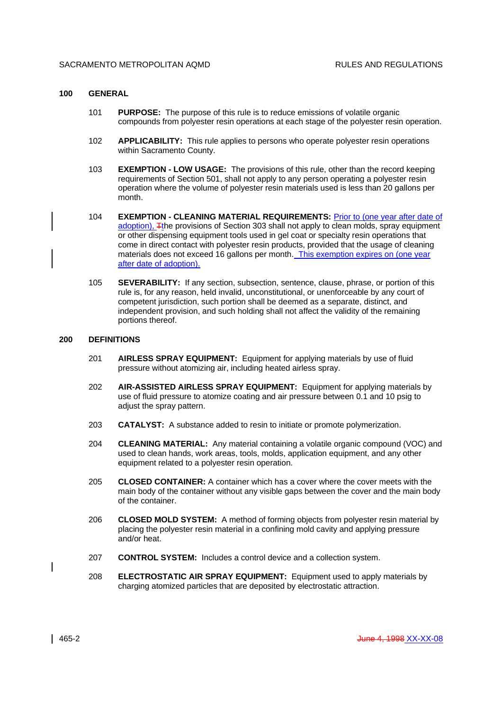#### **100 GENERAL**

- 101 **PURPOSE:** The purpose of this rule is to reduce emissions of volatile organic compounds from polyester resin operations at each stage of the polyester resin operation.
- 102 **APPLICABILITY:** This rule applies to persons who operate polyester resin operations within Sacramento County.
- 103 **EXEMPTION LOW USAGE:** The provisions of this rule, other than the record keeping requirements of Section 501, shall not apply to any person operating a polyester resin operation where the volume of polyester resin materials used is less than 20 gallons per month.
- 104 **EXEMPTION CLEANING MATERIAL REQUIREMENTS:** Prior to (one year after date of adoption), Tthe provisions of Section 303 shall not apply to clean molds, spray equipment or other dispensing equipment tools used in gel coat or specialty resin operations that come in direct contact with polyester resin products, provided that the usage of cleaning materials does not exceed 16 gallons per month. This exemption expires on (one year after date of adoption).
- 105 **SEVERABILITY:** If any section, subsection, sentence, clause, phrase, or portion of this rule is, for any reason, held invalid, unconstitutional, or unenforceable by any court of competent jurisdiction, such portion shall be deemed as a separate, distinct, and independent provision, and such holding shall not affect the validity of the remaining portions thereof.

#### **200 DEFINITIONS**

- 201 **AIRLESS SPRAY EQUIPMENT:** Equipment for applying materials by use of fluid pressure without atomizing air, including heated airless spray.
- 202 **AIR-ASSISTED AIRLESS SPRAY EQUIPMENT:** Equipment for applying materials by use of fluid pressure to atomize coating and air pressure between 0.1 and 10 psig to adjust the spray pattern.
- 203 **CATALYST:** A substance added to resin to initiate or promote polymerization.
- 204 **CLEANING MATERIAL:** Any material containing a volatile organic compound (VOC) and used to clean hands, work areas, tools, molds, application equipment, and any other equipment related to a polyester resin operation.
- 205 **CLOSED CONTAINER:** A container which has a cover where the cover meets with the main body of the container without any visible gaps between the cover and the main body of the container.
- 206 **CLOSED MOLD SYSTEM:** A method of forming objects from polyester resin material by placing the polyester resin material in a confining mold cavity and applying pressure and/or heat.
- 207 **CONTROL SYSTEM:** Includes a control device and a collection system.
- 208 **ELECTROSTATIC AIR SPRAY EQUIPMENT:** Equipment used to apply materials by charging atomized particles that are deposited by electrostatic attraction.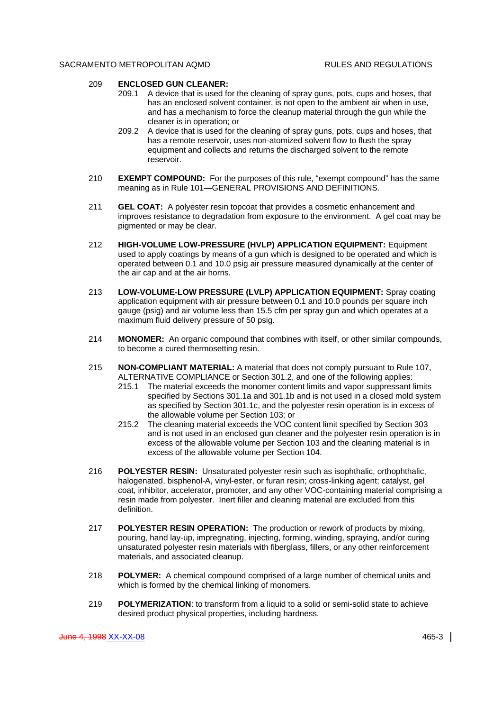#### 209 **ENCLOSED GUN CLEANER:**

- 209.1 A device that is used for the cleaning of spray guns, pots, cups and hoses, that has an enclosed solvent container, is not open to the ambient air when in use, and has a mechanism to force the cleanup material through the gun while the cleaner is in operation; or
- 209.2 A device that is used for the cleaning of spray guns, pots, cups and hoses, that has a remote reservoir, uses non-atomized solvent flow to flush the spray equipment and collects and returns the discharged solvent to the remote reservoir.
- 210 **EXEMPT COMPOUND:** For the purposes of this rule, "exempt compound" has the same meaning as in Rule 101—GENERAL PROVISIONS AND DEFINITIONS.
- 211 **GEL COAT:** A polyester resin topcoat that provides a cosmetic enhancement and improves resistance to degradation from exposure to the environment. A gel coat may be pigmented or may be clear.
- 212 **HIGH-VOLUME LOW-PRESSURE (HVLP) APPLICATION EQUIPMENT:** Equipment used to apply coatings by means of a gun which is designed to be operated and which is operated between 0.1 and 10.0 psig air pressure measured dynamically at the center of the air cap and at the air horns.
- 213 **LOW-VOLUME-LOW PRESSURE (LVLP) APPLICATION EQUIPMENT:** Spray coating application equipment with air pressure between 0.1 and 10.0 pounds per square inch gauge (psig) and air volume less than 15.5 cfm per spray gun and which operates at a maximum fluid delivery pressure of 50 psig.
- 214 **MONOMER:** An organic compound that combines with itself, or other similar compounds, to become a cured thermosetting resin.
- 215 **NON-COMPLIANT MATERIAL:** A material that does not comply pursuant to Rule 107, ALTERNATIVE COMPLIANCE or Section 301.2, and one of the following applies:
	- 215.1 The material exceeds the monomer content limits and vapor suppressant limits specified by Sections 301.1a and 301.1b and is not used in a closed mold system as specified by Section 301.1c, and the polyester resin operation is in excess of the allowable volume per Section 103; or
	- 215.2 The cleaning material exceeds the VOC content limit specified by Section 303 and is not used in an enclosed gun cleaner and the polyester resin operation is in excess of the allowable volume per Section 103 and the cleaning material is in excess of the allowable volume per Section 104.
- 216 **POLYESTER RESIN:** Unsaturated polyester resin such as isophthalic, orthophthalic, halogenated, bisphenol-A, vinyl-ester, or furan resin; cross-linking agent; catalyst, gel coat, inhibitor, accelerator, promoter, and any other VOC-containing material comprising a resin made from polyester. Inert filler and cleaning material are excluded from this definition.
- 217 **POLYESTER RESIN OPERATION:** The production or rework of products by mixing, pouring, hand lay-up, impregnating, injecting, forming, winding, spraying, and/or curing unsaturated polyester resin materials with fiberglass, fillers, or any other reinforcement materials, and associated cleanup.
- 218 **POLYMER:** A chemical compound comprised of a large number of chemical units and which is formed by the chemical linking of monomers.
- 219 **POLYMERIZATION**: to transform from a liquid to a solid or semi-solid state to achieve desired product physical properties, including hardness.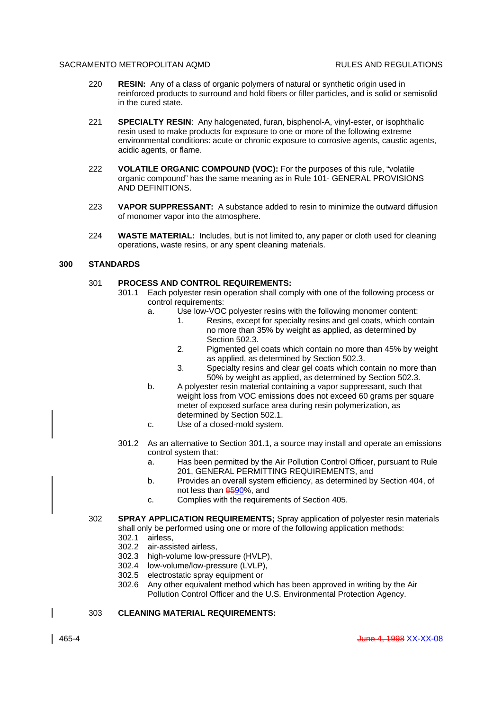- 220 **RESIN:** Any of a class of organic polymers of natural or synthetic origin used in reinforced products to surround and hold fibers or filler particles, and is solid or semisolid in the cured state.
- 221 **SPECIALTY RESIN**: Any halogenated, furan, bisphenol-A, vinyl-ester, or isophthalic resin used to make products for exposure to one or more of the following extreme environmental conditions: acute or chronic exposure to corrosive agents, caustic agents, acidic agents, or flame.
- 222 **VOLATILE ORGANIC COMPOUND (VOC):** For the purposes of this rule, "volatile organic compound" has the same meaning as in Rule 101- GENERAL PROVISIONS AND DEFINITIONS.
- 223 **VAPOR SUPPRESSANT:** A substance added to resin to minimize the outward diffusion of monomer vapor into the atmosphere.
- 224 **WASTE MATERIAL:** Includes, but is not limited to, any paper or cloth used for cleaning operations, waste resins, or any spent cleaning materials.

## **300 STANDARDS**

## 301 **PROCESS AND CONTROL REQUIREMENTS:**

- 301.1 Each polyester resin operation shall comply with one of the following process or control requirements:
	- a. Use low-VOC polyester resins with the following monomer content:
		- 1. Resins, except for specialty resins and gel coats, which contain no more than 35% by weight as applied, as determined by Section 502.3
		- 2. Pigmented gel coats which contain no more than 45% by weight as applied, as determined by Section 502.3.
		- 3. Specialty resins and clear gel coats which contain no more than 50% by weight as applied, as determined by Section 502.3.
	- b. A polyester resin material containing a vapor suppressant, such that weight loss from VOC emissions does not exceed 60 grams per square meter of exposed surface area during resin polymerization, as determined by Section 502.1.
	- c. Use of a closed-mold system.
- 301.2 As an alternative to Section 301.1, a source may install and operate an emissions control system that:
	- a. Has been permitted by the Air Pollution Control Officer, pursuant to Rule 201, GENERAL PERMITTING REQUIREMENTS, and
	- b. Provides an overall system efficiency, as determined by Section 404, of not less than 8590%, and
	- c. Complies with the requirements of Section 405.
- 302 **SPRAY APPLICATION REQUIREMENTS;** Spray application of polyester resin materials shall only be performed using one or more of the following application methods:
	- 302.1 airless,
	- 302.2 air-assisted airless,
	- 302.3 high-volume low-pressure (HVLP),
	- 302.4 low-volume/low-pressure (LVLP),
	- 302.5 electrostatic spray equipment or
	- 302.6 Any other equivalent method which has been approved in writing by the Air Pollution Control Officer and the U.S. Environmental Protection Agency.

## 303 **CLEANING MATERIAL REQUIREMENTS:**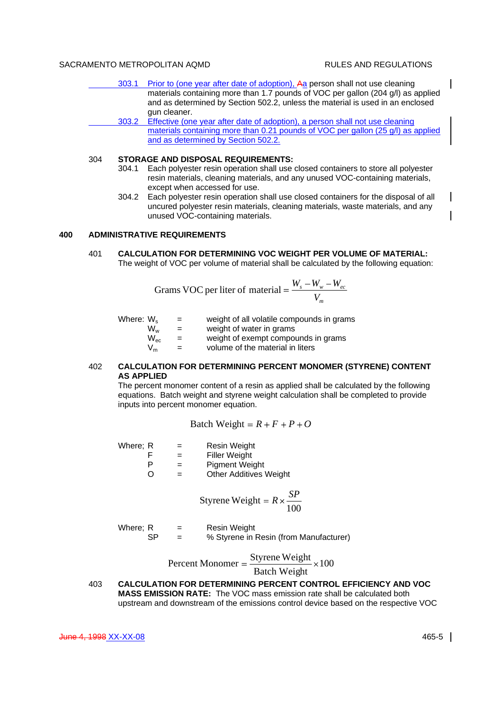$\mathbf{I}$ 

 $\mathbf{I}$ 

- 303.1 Prior to (one year after date of adoption), Aa person shall not use cleaning materials containing more than 1.7 pounds of VOC per gallon (204 g/l) as applied and as determined by Section 502.2, unless the material is used in an enclosed gun cleaner.
- 303.2 Effective (one year after date of adoption), a person shall not use cleaning materials containing more than 0.21 pounds of VOC per gallon (25 g/l) as applied and as determined by Section 502.2.

## 304 **STORAGE AND DISPOSAL REQUIREMENTS:**

- 304.1 Each polyester resin operation shall use closed containers to store all polyester resin materials, cleaning materials, and any unused VOC-containing materials, except when accessed for use.
- 304.2 Each polyester resin operation shall use closed containers for the disposal of all uncured polyester resin materials, cleaning materials, waste materials, and any unused VOC-containing materials.

## **400 ADMINISTRATIVE REQUIREMENTS**

401 **CALCULATION FOR DETERMINING VOC WEIGHT PER VOLUME OF MATERIAL:** The weight of VOC per volume of material shall be calculated by the following equation:

Grams VOC per liter of material = 
$$
\frac{W_s - W_w - W_{ec}}{V_m}
$$

| Where: W <sub>s</sub> |                 | $\equiv$ | weight of all volatile compounds in grams |
|-----------------------|-----------------|----------|-------------------------------------------|
|                       | Ww              | $=$      | weight of water in grams                  |
|                       | $W_{\text{ec}}$ | $=$      | weight of exempt compounds in grams       |
|                       | $V_m$           | $=$      | volume of the material in liters          |
|                       |                 |          |                                           |

#### 402 **CALCULATION FOR DETERMINING PERCENT MONOMER (STYRENE) CONTENT AS APPLIED**

The percent monomer content of a resin as applied shall be calculated by the following equations. Batch weight and styrene weight calculation shall be completed to provide inputs into percent monomer equation.

Batch Weight =  $R + F + P + O$ 

| Where; R | $=$ | <b>Resin Weight</b>           |
|----------|-----|-------------------------------|
|          | $=$ | <b>Filler Weight</b>          |
| P        | $=$ | <b>Pigment Weight</b>         |
| O        | $=$ | <b>Other Additives Weight</b> |

$$
Styrene Weight = R \times \frac{SP}{100}
$$

Where; 
$$
R =
$$
 Resin Weight

\nSP = % Styrene in Resin (from Manufacturing)

100 Percent Monomer =  $\frac{\text{Styrene Weight}}{2}$ 

htBatch Weig

403 **CALCULATION FOR DETERMINING PERCENT CONTROL EFFICIENCY AND VOC MASS EMISSION RATE:** The VOC mass emission rate shall be calculated both upstream and downstream of the emissions control device based on the respective VOC

June 4, 1998 XX-XX-08 465-5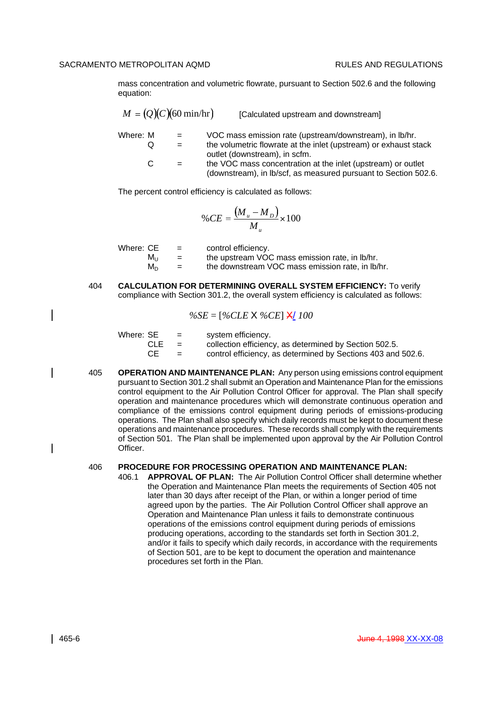mass concentration and volumetric flowrate, pursuant to Section 502.6 and the following equation:

|          | $M = (Q)(C)(60 \text{ min/hr})$ | [Calculated upstream and downstream]                                                                                            |
|----------|---------------------------------|---------------------------------------------------------------------------------------------------------------------------------|
| Where: M | $=$                             | VOC mass emission rate (upstream/downstream), in Ib/hr.                                                                         |
| O        |                                 | the volumetric flowrate at the inlet (upstream) or exhaust stack<br>outlet (downstream), in scfm.                               |
| C.       |                                 | the VOC mass concentration at the inlet (upstream) or outlet<br>(downstream), in lb/scf, as measured pursuant to Section 502.6. |

The percent control efficiency is calculated as follows:

$$
\%CE = \frac{(M_u - M_D)}{M_u} \times 100
$$

| Where: CE | $=$ | control efficiency.                              |
|-----------|-----|--------------------------------------------------|
| Mu        | $=$ | the upstream VOC mass emission rate, in lb/hr.   |
| M∩.       | $=$ | the downstream VOC mass emission rate, in lb/hr. |

404 **CALCULATION FOR DETERMINING OVERALL SYSTEM EFFICIENCY:** To verify compliance with Section 301.2, the overall system efficiency is calculated as follows:

$$
\%SE = [\%CLE \times \%CE] \times 100
$$

| Where: SE  | $\equiv$ $\equiv$ | system efficiency.                                           |
|------------|-------------------|--------------------------------------------------------------|
| <b>CLE</b> | $=$               | collection efficiency, as determined by Section 502.5.       |
| CE         | $\equiv$          | control efficiency, as determined by Sections 403 and 502.6. |

405 **OPERATION AND MAINTENANCE PLAN:** Any person using emissions control equipment pursuant to Section 301.2 shall submit an Operation and Maintenance Plan for the emissions control equipment to the Air Pollution Control Officer for approval. The Plan shall specify operation and maintenance procedures which will demonstrate continuous operation and compliance of the emissions control equipment during periods of emissions-producing operations. The Plan shall also specify which daily records must be kept to document these operations and maintenance procedures. These records shall comply with the requirements of Section 501. The Plan shall be implemented upon approval by the Air Pollution Control Officer.

# 406 **PROCEDURE FOR PROCESSING OPERATION AND MAINTENANCE PLAN:**

406.1 **APPROVAL OF PLAN:** The Air Pollution Control Officer shall determine whether the Operation and Maintenance Plan meets the requirements of Section 405 not later than 30 days after receipt of the Plan, or within a longer period of time agreed upon by the parties. The Air Pollution Control Officer shall approve an Operation and Maintenance Plan unless it fails to demonstrate continuous operations of the emissions control equipment during periods of emissions producing operations, according to the standards set forth in Section 301.2, and/or it fails to specify which daily records, in accordance with the requirements of Section 501, are to be kept to document the operation and maintenance procedures set forth in the Plan.

 $\mathsf{l}$ 

 $\mathbf{l}$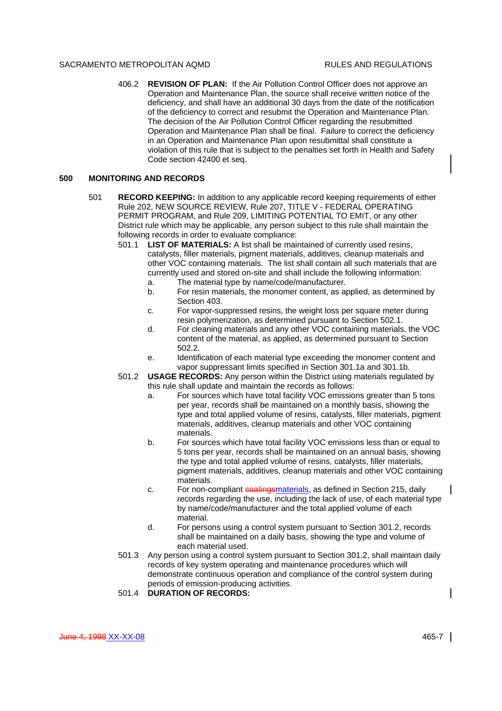406.2 **REVISION OF PLAN:** If the Air Pollution Control Officer does not approve an Operation and Maintenance Plan, the source shall receive written notice of the deficiency, and shall have an additional 30 days from the date of the notification of the deficiency to correct and resubmit the Operation and Maintenance Plan. The decision of the Air Pollution Control Officer regarding the resubmitted Operation and Maintenance Plan shall be final. Failure to correct the deficiency in an Operation and Maintenance Plan upon resubmittal shall constitute a violation of this rule that is subject to the penalties set forth in Health and Safety Code section 42400 et seq.

#### **500 MONITORING AND RECORDS**

- 501 **RECORD KEEPING:** In addition to any applicable record keeping requirements of either Rule 202, NEW SOURCE REVIEW, Rule 207, TITLE V - FEDERAL OPERATING PERMIT PROGRAM, and Rule 209, LIMITING POTENTIAL TO EMIT, or any other District rule which may be applicable, any person subject to this rule shall maintain the following records in order to evaluate compliance:
	- 501.1 **LIST OF MATERIALS:** A list shall be maintained of currently used resins, catalysts, filler materials, pigment materials, additives, cleanup materials and other VOC containing materials. The list shall contain all such materials that are currently used and stored on-site and shall include the following information:
		- a. The material type by name/code/manufacturer.
		- b. For resin materials, the monomer content, as applied, as determined by Section 403.
		- c. For vapor-suppressed resins, the weight loss per square meter during resin polymerization, as determined pursuant to Section 502.1.
		- d. For cleaning materials and any other VOC containing materials, the VOC content of the material, as applied, as determined pursuant to Section 502.2.
		- e. Identification of each material type exceeding the monomer content and vapor suppressant limits specified in Section 301.1a and 301.1b.
	- 501.2 **USAGE RECORDS:** Any person within the District using materials regulated by this rule shall update and maintain the records as follows:
		- a. For sources which have total facility VOC emissions greater than 5 tons per year, records shall be maintained on a monthly basis, showing the type and total applied volume of resins, catalysts, filler materials, pigment materials, additives, cleanup materials and other VOC containing materials.
		- b. For sources which have total facility VOC emissions less than or equal to 5 tons per year, records shall be maintained on an annual basis, showing the type and total applied volume of resins, catalysts, filler materials, pigment materials, additives, cleanup materials and other VOC containing materials.
		- c. For non-compliant evatings materials, as defined in Section 215, daily records regarding the use, including the lack of use, of each material type by name/code/manufacturer and the total applied volume of each material.
		- d. For persons using a control system pursuant to Section 301.2, records shall be maintained on a daily basis, showing the type and volume of each material used.
	- 501.3 Any person using a control system pursuant to Section 301.2, shall maintain daily records of key system operating and maintenance procedures which will demonstrate continuous operation and compliance of the control system during periods of emission-producing activities.
	- 501.4 **DURATION OF RECORDS:**